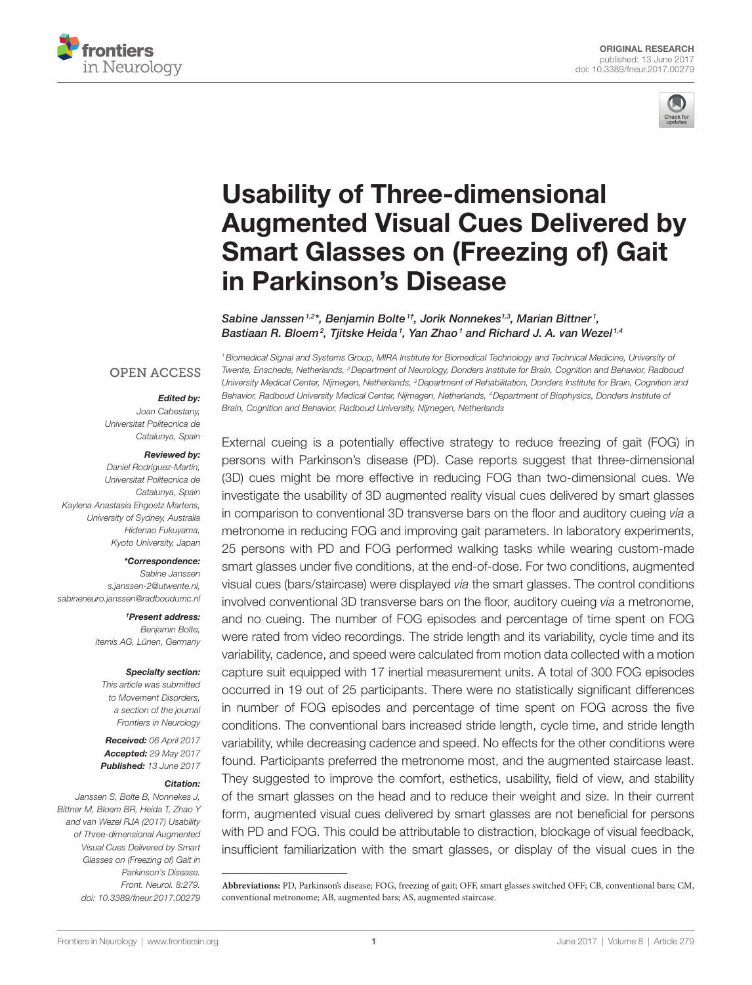



# [Usability of Three-dimensional](http://www.frontiersin.org/Journal/10.3389/fneur.2017.00279/abstract)  **Augmented Visual Cues Delivered by Smart Glasses on (Freezing of) Gait** [in Parkinson's Disease](http://www.frontiersin.org/Journal/10.3389/fneur.2017.00279/abstract)

*[Sabine Janssen1](http://loop.frontiersin.org/people/429534),2\*, Benjamin Bolte1†, Jorik Nonnekes1,3, Marian Bittner <sup>1</sup> , Bastiaan R. Bloem2 , [Tjitske Heida1](http://loop.frontiersin.org/people/73841) , [Yan Zhao1](http://loop.frontiersin.org/people/96107) and [Richard J. A. van Wezel](http://loop.frontiersin.org/people/10198) 1,4*

**OPEN ACCESS** 

#### *Edited by:*

*Joan Cabestany, Universitat Politecnica de Catalunya, Spain*

#### *Reviewed by:*

*Daniel Rodriguez-Martín, Universitat Politecnica de Catalunya, Spain Kaylena Anastasia Ehgoetz Martens, University of Sydney, Australia Hidenao Fukuyama, Kyoto University, Japan*

#### *\*Correspondence:*

*Sabine Janssen [s.janssen-2@utwente.nl,](mailto:s.janssen-2@utwente.nl) [sabineneuro.janssen@radboudumc.nl](mailto:sabineneuro.janssen@radboudumc.nl)*

> *†Present address: Benjamin Bolte, itemis AG, Lünen, Germany*

#### *Specialty section:*

*This article was submitted to Movement Disorders, a section of the journal Frontiers in Neurology*

*Received: 06 April 2017 Accepted: 29 May 2017 Published: 13 June 2017*

#### *Citation:*

*Janssen S, Bolte B, Nonnekes J, Bittner M, Bloem BR, Heida T, Zhao Y and van Wezel RJA (2017) Usability of Three-dimensional Augmented Visual Cues Delivered by Smart Glasses on (Freezing of) Gait in Parkinson's Disease. Front. Neurol. 8:279. doi: [10.3389/fneur.2017.00279](https://doi.org/10.3389/fneur.2017.00279)*

*1Biomedical Signal and Systems Group, MIRA Institute for Biomedical Technology and Technical Medicine, University of Twente, Enschede, Netherlands, 2Department of Neurology, Donders Institute for Brain, Cognition and Behavior, Radboud University Medical Center, Nijmegen, Netherlands, 3Department of Rehabilitation, Donders Institute for Brain, Cognition and Behavior, Radboud University Medical Center, Nijmegen, Netherlands, 4Department of Biophysics, Donders Institute of Brain, Cognition and Behavior, Radboud University, Nijmegen, Netherlands*

External cueing is a potentially effective strategy to reduce freezing of gait (FOG) in persons with Parkinson's disease (PD). Case reports suggest that three-dimensional (3D) cues might be more effective in reducing FOG than two-dimensional cues. We investigate the usability of 3D augmented reality visual cues delivered by smart glasses in comparison to conventional 3D transverse bars on the floor and auditory cueing *via* a metronome in reducing FOG and improving gait parameters. In laboratory experiments, 25 persons with PD and FOG performed walking tasks while wearing custom-made smart glasses under five conditions, at the end-of-dose. For two conditions, augmented visual cues (bars/staircase) were displayed *via* the smart glasses. The control conditions involved conventional 3D transverse bars on the floor, auditory cueing *via* a metronome, and no cueing. The number of FOG episodes and percentage of time spent on FOG were rated from video recordings. The stride length and its variability, cycle time and its variability, cadence, and speed were calculated from motion data collected with a motion capture suit equipped with 17 inertial measurement units. A total of 300 FOG episodes occurred in 19 out of 25 participants. There were no statistically significant differences in number of FOG episodes and percentage of time spent on FOG across the five conditions. The conventional bars increased stride length, cycle time, and stride length variability, while decreasing cadence and speed. No effects for the other conditions were found. Participants preferred the metronome most, and the augmented staircase least. They suggested to improve the comfort, esthetics, usability, field of view, and stability of the smart glasses on the head and to reduce their weight and size. In their current form, augmented visual cues delivered by smart glasses are not beneficial for persons with PD and FOG. This could be attributable to distraction, blockage of visual feedback, insufficient familiarization with the smart glasses, or display of the visual cues in the

**Abbreviations:** PD, Parkinson's disease; FOG, freezing of gait; OFF, smart glasses switched OFF; CB, conventional bars; CM, conventional metronome; AB, augmented bars; AS, augmented staircase.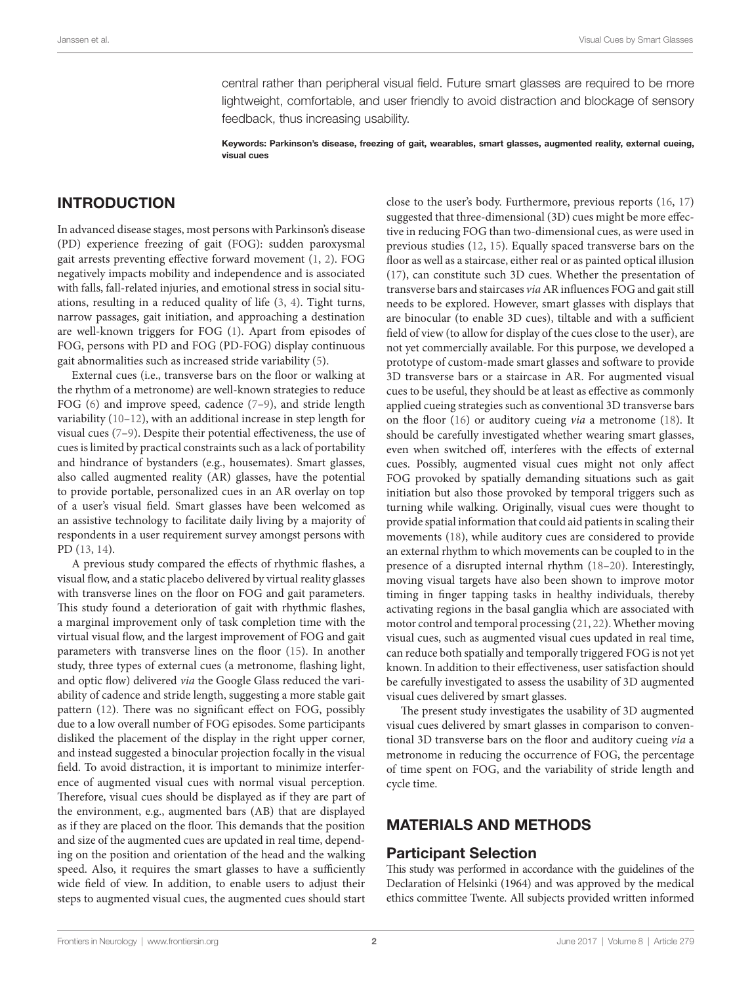central rather than peripheral visual field. Future smart glasses are required to be more lightweight, comfortable, and user friendly to avoid distraction and blockage of sensory feedback, thus increasing usability.

Keywords: Parkinson's disease, freezing of gait, wearables, smart glasses, augmented reality, external cueing, visual cues

## INTRODUCTION

In advanced disease stages, most persons with Parkinson's disease (PD) experience freezing of gait (FOG): sudden paroxysmal gait arrests preventing effective forward movement ([1](#page-8-0), [2\)](#page-8-1). FOG negatively impacts mobility and independence and is associated with falls, fall-related injuries, and emotional stress in social situations, resulting in a reduced quality of life [\(3,](#page-8-2) [4\)](#page-8-3). Tight turns, narrow passages, gait initiation, and approaching a destination are well-known triggers for FOG [\(1\)](#page-8-0). Apart from episodes of FOG, persons with PD and FOG (PD-FOG) display continuous gait abnormalities such as increased stride variability ([5](#page-8-4)).

External cues (i.e., transverse bars on the floor or walking at the rhythm of a metronome) are well-known strategies to reduce FOG [\(6\)](#page-8-5) and improve speed, cadence [\(7](#page-8-6)-[9\)](#page-8-7), and stride length variability ([10](#page-8-8)[–12](#page-8-9)), with an additional increase in step length for visual cues ([7](#page-8-6)[–9\)](#page-8-7). Despite their potential effectiveness, the use of cues is limited by practical constraints such as a lack of portability and hindrance of bystanders (e.g., housemates). Smart glasses, also called augmented reality (AR) glasses, have the potential to provide portable, personalized cues in an AR overlay on top of a user's visual field. Smart glasses have been welcomed as an assistive technology to facilitate daily living by a majority of respondents in a user requirement survey amongst persons with PD [\(13](#page-8-10), [14\)](#page-8-11).

A previous study compared the effects of rhythmic flashes, a visual flow, and a static placebo delivered by virtual reality glasses with transverse lines on the floor on FOG and gait parameters. This study found a deterioration of gait with rhythmic flashes, a marginal improvement only of task completion time with the virtual visual flow, and the largest improvement of FOG and gait parameters with transverse lines on the floor ([15\)](#page-8-12). In another study, three types of external cues (a metronome, flashing light, and optic flow) delivered *via* the Google Glass reduced the variability of cadence and stride length, suggesting a more stable gait pattern ([12\)](#page-8-9). There was no significant effect on FOG, possibly due to a low overall number of FOG episodes. Some participants disliked the placement of the display in the right upper corner, and instead suggested a binocular projection focally in the visual field. To avoid distraction, it is important to minimize interference of augmented visual cues with normal visual perception. Therefore, visual cues should be displayed as if they are part of the environment, e.g., augmented bars (AB) that are displayed as if they are placed on the floor. This demands that the position and size of the augmented cues are updated in real time, depending on the position and orientation of the head and the walking speed. Also, it requires the smart glasses to have a sufficiently wide field of view. In addition, to enable users to adjust their steps to augmented visual cues, the augmented cues should start

close to the user's body. Furthermore, previous reports [\(16](#page-8-13), [17](#page-8-14)) suggested that three-dimensional (3D) cues might be more effective in reducing FOG than two-dimensional cues, as were used in previous studies ([12,](#page-8-9) [15\)](#page-8-12). Equally spaced transverse bars on the floor as well as a staircase, either real or as painted optical illusion [\(17](#page-8-14)), can constitute such 3D cues. Whether the presentation of transverse bars and staircases *via* AR influences FOG and gait still needs to be explored. However, smart glasses with displays that are binocular (to enable 3D cues), tiltable and with a sufficient field of view (to allow for display of the cues close to the user), are not yet commercially available. For this purpose, we developed a prototype of custom-made smart glasses and software to provide 3D transverse bars or a staircase in AR. For augmented visual cues to be useful, they should be at least as effective as commonly applied cueing strategies such as conventional 3D transverse bars on the floor ([16](#page-8-13)) or auditory cueing *via* a metronome ([18](#page-8-15)). It should be carefully investigated whether wearing smart glasses, even when switched off, interferes with the effects of external cues. Possibly, augmented visual cues might not only affect FOG provoked by spatially demanding situations such as gait initiation but also those provoked by temporal triggers such as turning while walking. Originally, visual cues were thought to provide spatial information that could aid patients in scaling their movements [\(18](#page-8-15)), while auditory cues are considered to provide an external rhythm to which movements can be coupled to in the presence of a disrupted internal rhythm ([18–](#page-8-15)[20\)](#page-8-16). Interestingly, moving visual targets have also been shown to improve motor timing in finger tapping tasks in healthy individuals, thereby activating regions in the basal ganglia which are associated with motor control and temporal processing ([21,](#page-8-17) [22\)](#page-8-18). Whether moving visual cues, such as augmented visual cues updated in real time, can reduce both spatially and temporally triggered FOG is not yet known. In addition to their effectiveness, user satisfaction should be carefully investigated to assess the usability of 3D augmented visual cues delivered by smart glasses.

The present study investigates the usability of 3D augmented visual cues delivered by smart glasses in comparison to conventional 3D transverse bars on the floor and auditory cueing *via* a metronome in reducing the occurrence of FOG, the percentage of time spent on FOG, and the variability of stride length and cycle time.

## MATERIALS AND METHODS

### Participant Selection

This study was performed in accordance with the guidelines of the Declaration of Helsinki (1964) and was approved by the medical ethics committee Twente. All subjects provided written informed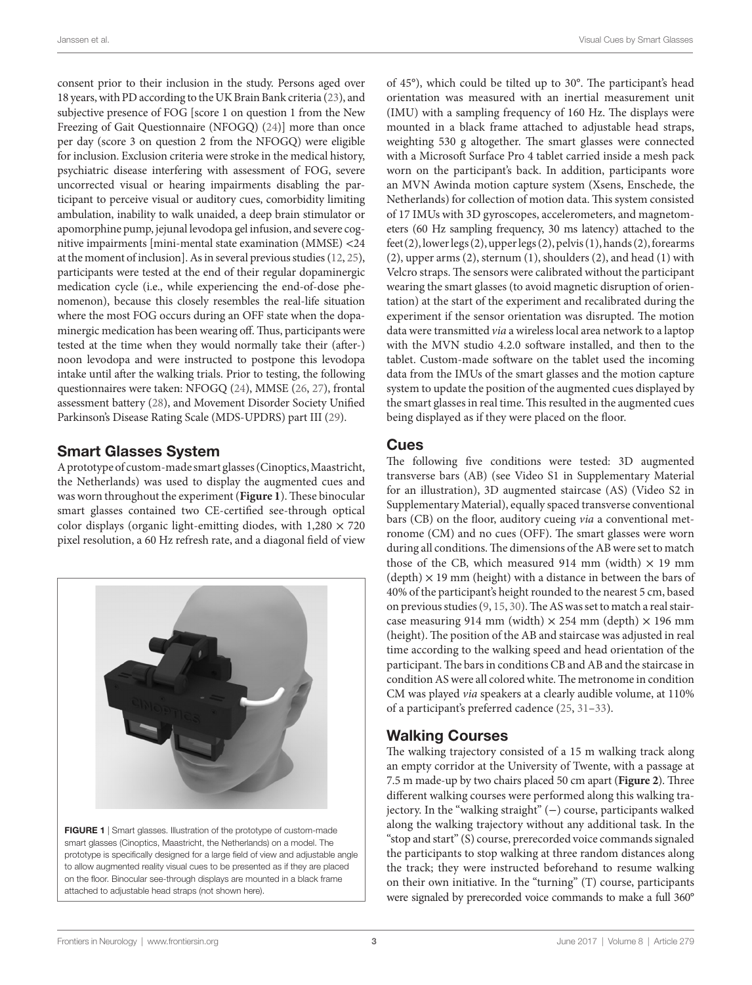Janssen et al. Visual Cues by Smart Glasses

consent prior to their inclusion in the study. Persons aged over 18 years, with PD according to the UK Brain Bank criteria [\(23](#page-8-19)), and subjective presence of FOG [score 1 on question 1 from the New Freezing of Gait Questionnaire (NFOGQ) ([24\)](#page-8-20)] more than once per day (score 3 on question 2 from the NFOGQ) were eligible for inclusion. Exclusion criteria were stroke in the medical history, psychiatric disease interfering with assessment of FOG, severe uncorrected visual or hearing impairments disabling the participant to perceive visual or auditory cues, comorbidity limiting ambulation, inability to walk unaided, a deep brain stimulator or apomorphine pump, jejunal levodopa gel infusion, and severe cognitive impairments [mini-mental state examination (MMSE) <24 at the moment of inclusion]. As in several previous studies [\(12](#page-8-9), [25\)](#page-8-21), participants were tested at the end of their regular dopaminergic medication cycle (i.e., while experiencing the end-of-dose phenomenon), because this closely resembles the real-life situation where the most FOG occurs during an OFF state when the dopaminergic medication has been wearing off. Thus, participants were tested at the time when they would normally take their (after-) noon levodopa and were instructed to postpone this levodopa intake until after the walking trials. Prior to testing, the following questionnaires were taken: NFOGQ [\(24](#page-8-20)), MMSE [\(26,](#page-9-0) [27](#page-9-1)), frontal assessment battery [\(28](#page-9-2)), and Movement Disorder Society Unified Parkinson's Disease Rating Scale (MDS-UPDRS) part III [\(29](#page-9-3)).

## Smart Glasses System

A prototype of custom-made smart glasses (Cinoptics, Maastricht, the Netherlands) was used to display the augmented cues and was worn throughout the experiment (**[Figure 1](#page-2-0)**). These binocular smart glasses contained two CE-certified see-through optical color displays (organic light-emitting diodes, with  $1,280 \times 720$ pixel resolution, a 60 Hz refresh rate, and a diagonal field of view

<span id="page-2-0"></span>

FIGURE 1 | Smart glasses. Illustration of the prototype of custom-made smart glasses (Cinoptics, Maastricht, the Netherlands) on a model. The prototype is specifically designed for a large field of view and adjustable angle to allow augmented reality visual cues to be presented as if they are placed on the floor. Binocular see-through displays are mounted in a black frame attached to adjustable head straps (not shown here).

of 45°), which could be tilted up to 30°. The participant's head orientation was measured with an inertial measurement unit (IMU) with a sampling frequency of 160 Hz. The displays were mounted in a black frame attached to adjustable head straps, weighting 530 g altogether. The smart glasses were connected with a Microsoft Surface Pro 4 tablet carried inside a mesh pack worn on the participant's back. In addition, participants wore an MVN Awinda motion capture system (Xsens, Enschede, the Netherlands) for collection of motion data. This system consisted of 17 IMUs with 3D gyroscopes, accelerometers, and magnetometers (60 Hz sampling frequency, 30 ms latency) attached to the feet (2), lower legs (2), upper legs (2), pelvis (1), hands (2), forearms (2), upper arms (2), sternum (1), shoulders (2), and head (1) with Velcro straps. The sensors were calibrated without the participant wearing the smart glasses (to avoid magnetic disruption of orientation) at the start of the experiment and recalibrated during the experiment if the sensor orientation was disrupted. The motion data were transmitted *via* a wireless local area network to a laptop with the MVN studio 4.2.0 software installed, and then to the tablet. Custom-made software on the tablet used the incoming data from the IMUs of the smart glasses and the motion capture system to update the position of the augmented cues displayed by the smart glasses in real time. This resulted in the augmented cues being displayed as if they were placed on the floor.

## Cues

The following five conditions were tested: 3D augmented transverse bars (AB) (see Video S1 in Supplementary Material for an illustration), 3D augmented staircase (AS) (Video S2 in Supplementary Material), equally spaced transverse conventional bars (CB) on the floor, auditory cueing *via* a conventional metronome (CM) and no cues (OFF). The smart glasses were worn during all conditions. The dimensions of the AB were set to match those of the CB, which measured 914 mm (width)  $\times$  19 mm  $(\text{depth}) \times 19 \text{ mm}$  (height) with a distance in between the bars of 40% of the participant's height rounded to the nearest 5 cm, based on previous studies ([9](#page-8-7), [15,](#page-8-12) [30\)](#page-9-4). The AS was set to match a real staircase measuring 914 mm (width)  $\times$  254 mm (depth)  $\times$  196 mm (height). The position of the AB and staircase was adjusted in real time according to the walking speed and head orientation of the participant. The bars in conditions CB and AB and the staircase in condition AS were all colored white. The metronome in condition CM was played *via* speakers at a clearly audible volume, at 110% of a participant's preferred cadence ([25,](#page-8-21) [31](#page-9-5)[–33](#page-9-6)).

## Walking Courses

The walking trajectory consisted of a 15 m walking track along an empty corridor at the University of Twente, with a passage at 7.5 m made-up by two chairs placed 50 cm apart (**[Figure 2](#page-3-0)**). Three different walking courses were performed along this walking trajectory. In the "walking straight" (−) course, participants walked along the walking trajectory without any additional task. In the "stop and start" (S) course, prerecorded voice commands signaled the participants to stop walking at three random distances along the track; they were instructed beforehand to resume walking on their own initiative. In the "turning" (T) course, participants were signaled by prerecorded voice commands to make a full 360°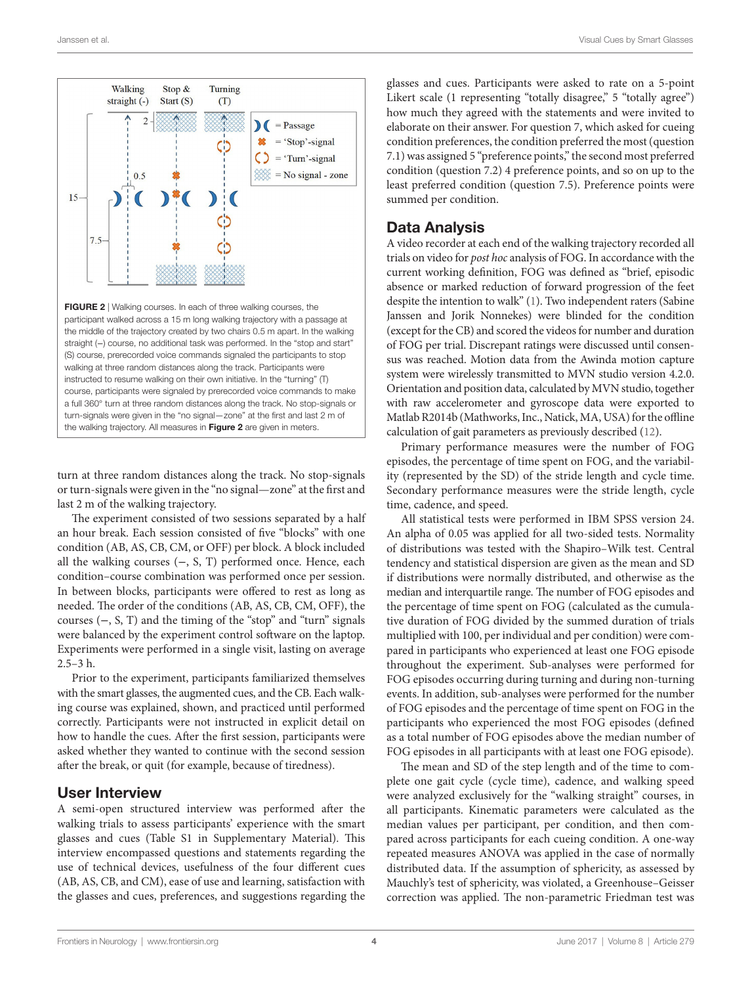

<span id="page-3-0"></span>course, participants were signaled by prerecorded voice commands to make a full 360° turn at three random distances along the track. No stop-signals or turn-signals were given in the "no signal—zone" at the first and last 2 m of the walking trajectory. All measures in [Figure 2](#page-3-0) are given in meters.

turn at three random distances along the track. No stop-signals or turn-signals were given in the "no signal—zone" at the first and last 2 m of the walking trajectory.

The experiment consisted of two sessions separated by a half an hour break. Each session consisted of five "blocks" with one condition (AB, AS, CB, CM, or OFF) per block. A block included all the walking courses (−, S, T) performed once. Hence, each condition–course combination was performed once per session. In between blocks, participants were offered to rest as long as needed. The order of the conditions (AB, AS, CB, CM, OFF), the courses (−, S, T) and the timing of the "stop" and "turn" signals were balanced by the experiment control software on the laptop. Experiments were performed in a single visit, lasting on average 2.5–3 h.

Prior to the experiment, participants familiarized themselves with the smart glasses, the augmented cues, and the CB. Each walking course was explained, shown, and practiced until performed correctly. Participants were not instructed in explicit detail on how to handle the cues. After the first session, participants were asked whether they wanted to continue with the second session after the break, or quit (for example, because of tiredness).

### User Interview

A semi-open structured interview was performed after the walking trials to assess participants' experience with the smart glasses and cues (Table S1 in Supplementary Material). This interview encompassed questions and statements regarding the use of technical devices, usefulness of the four different cues (AB, AS, CB, and CM), ease of use and learning, satisfaction with the glasses and cues, preferences, and suggestions regarding the glasses and cues. Participants were asked to rate on a 5-point Likert scale (1 representing "totally disagree," 5 "totally agree") how much they agreed with the statements and were invited to elaborate on their answer. For question 7, which asked for cueing condition preferences, the condition preferred the most (question 7.1) was assigned 5 "preference points," the second most preferred condition (question 7.2) 4 preference points, and so on up to the least preferred condition (question 7.5). Preference points were summed per condition.

## Data Analysis

A video recorder at each end of the walking trajectory recorded all trials on video for *post hoc* analysis of FOG. In accordance with the current working definition, FOG was defined as "brief, episodic absence or marked reduction of forward progression of the feet despite the intention to walk" ([1](#page-8-0)). Two independent raters (Sabine Janssen and Jorik Nonnekes) were blinded for the condition (except for the CB) and scored the videos for number and duration of FOG per trial. Discrepant ratings were discussed until consensus was reached. Motion data from the Awinda motion capture system were wirelessly transmitted to MVN studio version 4.2.0. Orientation and position data, calculated by MVN studio, together with raw accelerometer and gyroscope data were exported to Matlab R2014b (Mathworks, Inc., Natick, MA, USA) for the offline calculation of gait parameters as previously described ([12\)](#page-8-9).

Primary performance measures were the number of FOG episodes, the percentage of time spent on FOG, and the variability (represented by the SD) of the stride length and cycle time. Secondary performance measures were the stride length, cycle time, cadence, and speed.

All statistical tests were performed in IBM SPSS version 24. An alpha of 0.05 was applied for all two-sided tests. Normality of distributions was tested with the Shapiro–Wilk test. Central tendency and statistical dispersion are given as the mean and SD if distributions were normally distributed, and otherwise as the median and interquartile range. The number of FOG episodes and the percentage of time spent on FOG (calculated as the cumulative duration of FOG divided by the summed duration of trials multiplied with 100, per individual and per condition) were compared in participants who experienced at least one FOG episode throughout the experiment. Sub-analyses were performed for FOG episodes occurring during turning and during non-turning events. In addition, sub-analyses were performed for the number of FOG episodes and the percentage of time spent on FOG in the participants who experienced the most FOG episodes (defined as a total number of FOG episodes above the median number of FOG episodes in all participants with at least one FOG episode).

The mean and SD of the step length and of the time to complete one gait cycle (cycle time), cadence, and walking speed were analyzed exclusively for the "walking straight" courses, in all participants. Kinematic parameters were calculated as the median values per participant, per condition, and then compared across participants for each cueing condition. A one-way repeated measures ANOVA was applied in the case of normally distributed data. If the assumption of sphericity, as assessed by Mauchly's test of sphericity, was violated, a Greenhouse–Geisser correction was applied. The non-parametric Friedman test was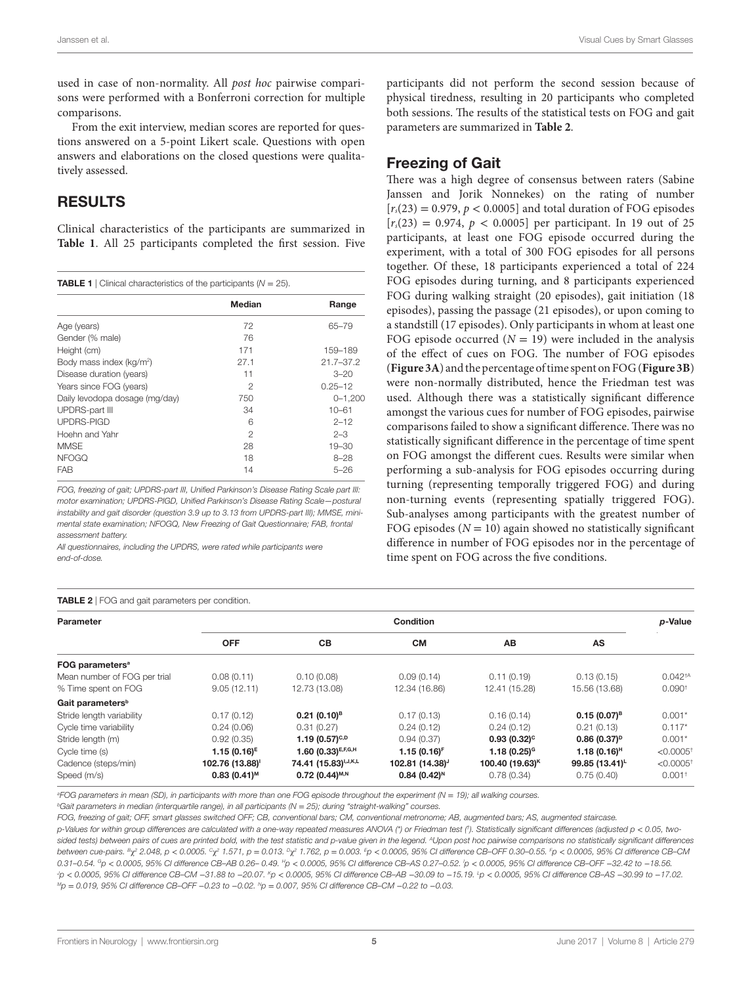used in case of non-normality. All *post hoc* pairwise comparisons were performed with a Bonferroni correction for multiple comparisons.

From the exit interview, median scores are reported for questions answered on a 5-point Likert scale. Questions with open answers and elaborations on the closed questions were qualitatively assessed.

## RESULTS

Clinical characteristics of the participants are summarized in **[Table 1](#page-4-0)**. All 25 participants completed the first session. Five

<span id="page-4-0"></span>

| <b>TABLE 1</b>   Clinical characteristics of the participants ( $N = 25$ ). |                |               |  |  |  |  |
|-----------------------------------------------------------------------------|----------------|---------------|--|--|--|--|
|                                                                             | Median         | Range         |  |  |  |  |
| Age (years)                                                                 | 72             | $65 - 79$     |  |  |  |  |
| Gender (% male)                                                             | 76             |               |  |  |  |  |
| Height (cm)                                                                 | 171            | 159-189       |  |  |  |  |
| Body mass index (kg/m <sup>2</sup> )                                        | 27.1           | $21.7 - 37.2$ |  |  |  |  |
| Disease duration (years)                                                    | 11             | $3 - 20$      |  |  |  |  |
| Years since FOG (years)                                                     | 2              | $0.25 - 12$   |  |  |  |  |
| Daily levodopa dosage (mg/day)                                              | 750            | $0 - 1,200$   |  |  |  |  |
| <b>UPDRS-part III</b>                                                       | 34             | $10 - 61$     |  |  |  |  |
| <b>UPDRS-PIGD</b>                                                           | 6              | $2 - 12$      |  |  |  |  |
| Hoehn and Yahr                                                              | $\mathfrak{p}$ | $2 - 3$       |  |  |  |  |
| MMSE                                                                        | 28             | $19 - 30$     |  |  |  |  |
| <b>NFOGQ</b>                                                                | 18             | $8 - 28$      |  |  |  |  |
| <b>FAB</b>                                                                  | 14             | $5 - 26$      |  |  |  |  |

*FOG, freezing of gait; UPDRS-part III, Unified Parkinson's Disease Rating Scale part III: motor examination; UPDRS-PIGD, Unified Parkinson's Disease Rating Scale—postural instability and gait disorder (question 3.9 up to 3.13 from UPDRS-part III); MMSE, minimental state examination; NFOGQ, New Freezing of Gait Questionnaire; FAB, frontal assessment battery.*

*All questionnaires, including the UPDRS, were rated while participants were end-of-dose.*

#### <span id="page-4-1"></span>Table 2 | FOG and gait parameters per condition.

participants did not perform the second session because of physical tiredness, resulting in 20 participants who completed both sessions. The results of the statistical tests on FOG and gait parameters are summarized in **[Table 2](#page-4-1)**.

### Freezing of Gait

There was a high degree of consensus between raters (Sabine Janssen and Jorik Nonnekes) on the rating of number  $[r_s(23) = 0.979, p < 0.0005]$  and total duration of FOG episodes  $[r_s(23) = 0.974, p < 0.0005]$  per participant. In 19 out of 25 participants, at least one FOG episode occurred during the experiment, with a total of 300 FOG episodes for all persons together. Of these, 18 participants experienced a total of 224 FOG episodes during turning, and 8 participants experienced FOG during walking straight (20 episodes), gait initiation (18 episodes), passing the passage (21 episodes), or upon coming to a standstill (17 episodes). Only participants in whom at least one FOG episode occurred  $(N = 19)$  were included in the analysis of the effect of cues on FOG. The number of FOG episodes (**[Figure 3A](#page-5-0)**) and the percentage of time spent on FOG (**[Figure 3B](#page-5-0)**) were non-normally distributed, hence the Friedman test was used. Although there was a statistically significant difference amongst the various cues for number of FOG episodes, pairwise comparisons failed to show a significant difference. There was no statistically significant difference in the percentage of time spent on FOG amongst the different cues. Results were similar when performing a sub-analysis for FOG episodes occurring during turning (representing temporally triggered FOG) and during non-turning events (representing spatially triggered FOG). Sub-analyses among participants with the greatest number of FOG episodes  $(N = 10)$  again showed no statistically significant difference in number of FOG episodes nor in the percentage of time spent on FOG across the five conditions.

| <b>IABLE 2</b>   FOG and gail parameters per condition. |                           |                                     |                             |                             |                  |                         |  |  |
|---------------------------------------------------------|---------------------------|-------------------------------------|-----------------------------|-----------------------------|------------------|-------------------------|--|--|
| Parameter                                               | Condition                 |                                     |                             |                             |                  | p-Value                 |  |  |
|                                                         | <b>OFF</b>                | <b>CB</b>                           | <b>CM</b>                   | AB                          | AS               |                         |  |  |
| FOG parameters <sup>a</sup>                             |                           |                                     |                             |                             |                  |                         |  |  |
| Mean number of FOG per trial                            | 0.08(0.11)                | 0.10(0.08)                          | 0.09(0.14)                  | 0.11(0.19)                  | 0.13(0.15)       | $0.042^{†A}$            |  |  |
| % Time spent on FOG                                     | 9.05(12.11)               | 12.73 (13.08)                       | 12.34 (16.86)               | 12.41 (15.28)               | 15.56 (13.68)    | 0.090 <sup>†</sup>      |  |  |
| Gait parameters <sup>b</sup>                            |                           |                                     |                             |                             |                  |                         |  |  |
| Stride length variability                               | 0.17(0.12)                | $0.21(0.10)^8$                      | 0.17(0.13)                  | 0.16(0.14)                  | $0.15(0.07)^{B}$ | $0.001*$                |  |  |
| Cycle time variability                                  | 0.24(0.06)                | 0.31(0.27)                          | 0.24(0.12)                  | 0.24(0.12)                  | 0.21(0.13)       | $0.117*$                |  |  |
| Stride length (m)                                       | 0.92(0.35)                | 1.19 (0.57) <sup>c,p</sup>          | 0.94(0.37)                  | $0.93(0.32)^c$              | $0.86(0.37)^p$   | $0.001*$                |  |  |
| Cycle time (s)                                          | $1.15(0.16)^{E}$          | 1.60 $(0.33)^{E,F,G,H}$             | $1.15(0.16)^F$              | 1.18 $(0.25)$ <sup>G</sup>  | $1.18(0.16)^{H}$ | $<$ 0.0005 <sup>+</sup> |  |  |
| Cadence (steps/min)                                     | 102.76 (13.88)            | 74.41 (15.83) <sup>1, J, K, L</sup> | 102.81 (14.38) <sup>J</sup> | 100.40 (19.63) <sup>K</sup> | 99.85 (13.41)    | $<$ 0.0005 <sup>+</sup> |  |  |
| Speed (m/s)                                             | $0.83(0.41)$ <sup>M</sup> | $0.72(0.44)^{M,N}$                  | $0.84(0.42)^{N}$            | 0.78(0.34)                  | 0.75(0.40)       | $0.001$ <sup>+</sup>    |  |  |

*a FOG parameters in mean (SD), in participants with more than one FOG episode throughout the experiment (N* = *19); all walking courses.*

*bGait parameters in median (interquartile range), in all participants (N = 25); during "straight-walking" courses* 

*FOG, freezing of gait; OFF, smart glasses switched OFF; CB, conventional bars; CM, conventional metronome; AB, augmented bars; AS, augmented staircase.*

*p-Values for within group differences are calculated with a one-way repeated measures ANOVA (\*) or Friedman test († ). Statistically significant differences (adjusted p* < *0.05, two*sided tests) between pairs of cues are printed bold, with the test statistic and p-value given in the legend. <sup>A</sup>Upon post hoc pairwise comparisons no statistically significant differences between cue-pairs. <sup>B</sup>y² 2.048, p < 0.0005. <sup>c</sup>y² 1.571, p = 0.013. <sup>p</sup>y² 1.762, p = 0.003. <sup>f</sup>p < 0.0005, 95% Cl difference CB–OFF 0.30–0.55. <sup>f</sup>p < 0.0005, 95% Cl difference CB–CM *0.31–0.54. Gp* < *0.0005, 95% CI difference CB–AB 0.26– 0.49. Hp* < *0.0005, 95% CI difference CB–AS 0.27–0.52. I p* < *0.0005, 95% CI difference CB–OFF* −*32.42 to* −*18.56.*  -g < 0.0005, 95% Cl difference CB–CM –31.88 to –20.07. <sup>k</sup>p < 0.0005, 95% Cl difference CB–AB –30.09 to –15.19. <sup>t</sup>p < 0.0005, 95% Cl difference CB–AS –30.99 to –17.02. *Mp* = *0.019, 95% CI difference CB–OFF* −*0.23 to* −*0.02. Np* = *0.007, 95% CI difference CB–CM* −*0.22 to* −*0.03.*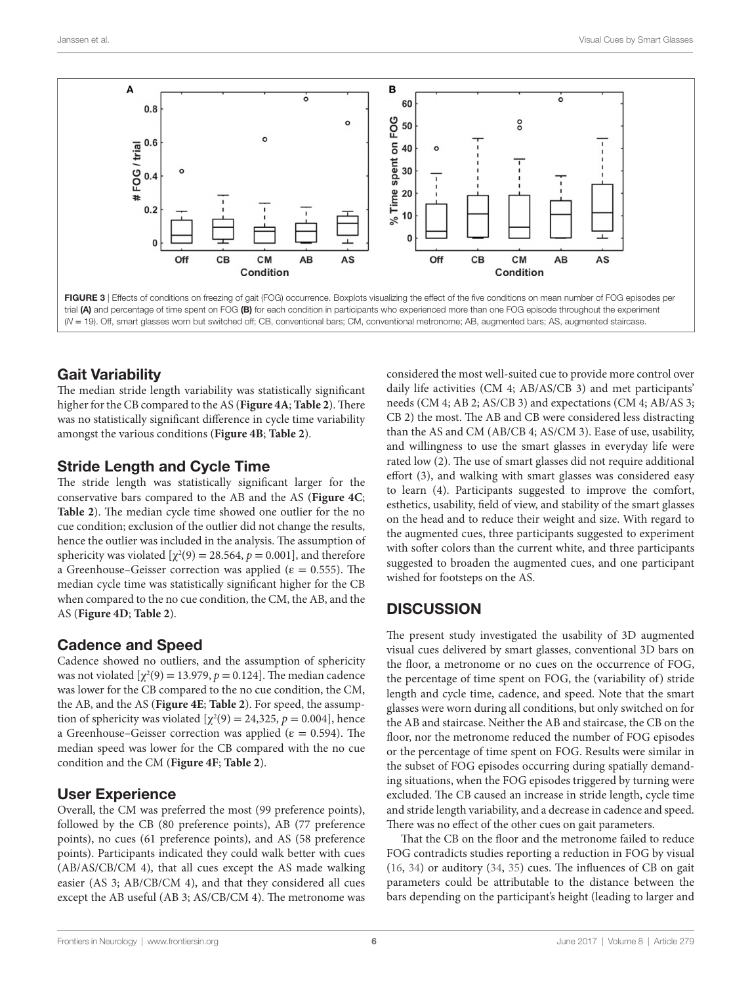

## <span id="page-5-0"></span>Gait Variability

The median stride length variability was statistically significant higher for the CB compared to the AS (**[Figure 4A](#page-6-0)**; **[Table 2](#page-4-1)**). There was no statistically significant difference in cycle time variability amongst the various conditions (**[Figure 4B](#page-6-0)**; **[Table 2](#page-4-1)**).

## Stride Length and Cycle Time

The stride length was statistically significant larger for the conservative bars compared to the AB and the AS (**[Figure 4C](#page-6-0)**; **[Table 2](#page-4-1)**). The median cycle time showed one outlier for the no cue condition; exclusion of the outlier did not change the results, hence the outlier was included in the analysis. The assumption of sphericity was violated  $[\chi^2(9) = 28.564, p = 0.001]$ , and therefore a Greenhouse–Geisser correction was applied ( $\varepsilon = 0.555$ ). The median cycle time was statistically significant higher for the CB when compared to the no cue condition, the CM, the AB, and the AS (**[Figure 4D](#page-6-0)**; **[Table 2](#page-4-1)**).

## Cadence and Speed

Cadence showed no outliers, and the assumption of sphericity was not violated  $[\chi^2(9) = 13.979, p = 0.124]$ . The median cadence was lower for the CB compared to the no cue condition, the CM, the AB, and the AS (**[Figure 4E](#page-6-0)**; **[Table 2](#page-4-1)**). For speed, the assumption of sphericity was violated  $[\chi^2(9) = 24,325, p = 0.004]$ , hence a Greenhouse–Geisser correction was applied ( $\varepsilon = 0.594$ ). The median speed was lower for the CB compared with the no cue condition and the CM (**[Figure 4F](#page-6-0)**; **[Table 2](#page-4-1)**).

## User Experience

Overall, the CM was preferred the most (99 preference points), followed by the CB (80 preference points), AB (77 preference points), no cues (61 preference points), and AS (58 preference points). Participants indicated they could walk better with cues (AB/AS/CB/CM 4), that all cues except the AS made walking easier (AS 3; AB/CB/CM 4), and that they considered all cues except the AB useful (AB 3; AS/CB/CM 4). The metronome was

considered the most well-suited cue to provide more control over daily life activities (CM 4; AB/AS/CB 3) and met participants' needs (CM 4; AB 2; AS/CB 3) and expectations (CM 4; AB/AS 3; CB 2) the most. The AB and CB were considered less distracting than the AS and CM (AB/CB 4; AS/CM 3). Ease of use, usability, and willingness to use the smart glasses in everyday life were rated low (2). The use of smart glasses did not require additional effort (3), and walking with smart glasses was considered easy to learn (4). Participants suggested to improve the comfort, esthetics, usability, field of view, and stability of the smart glasses on the head and to reduce their weight and size. With regard to the augmented cues, three participants suggested to experiment with softer colors than the current white, and three participants suggested to broaden the augmented cues, and one participant wished for footsteps on the AS.

# **DISCUSSION**

The present study investigated the usability of 3D augmented visual cues delivered by smart glasses, conventional 3D bars on the floor, a metronome or no cues on the occurrence of FOG, the percentage of time spent on FOG, the (variability of) stride length and cycle time, cadence, and speed. Note that the smart glasses were worn during all conditions, but only switched on for the AB and staircase. Neither the AB and staircase, the CB on the floor, nor the metronome reduced the number of FOG episodes or the percentage of time spent on FOG. Results were similar in the subset of FOG episodes occurring during spatially demanding situations, when the FOG episodes triggered by turning were excluded. The CB caused an increase in stride length, cycle time and stride length variability, and a decrease in cadence and speed. There was no effect of the other cues on gait parameters.

That the CB on the floor and the metronome failed to reduce FOG contradicts studies reporting a reduction in FOG by visual [\(16,](#page-8-13) [34\)](#page-9-7) or auditory [\(34,](#page-9-7) [35\)](#page-9-8) cues. The influences of CB on gait parameters could be attributable to the distance between the bars depending on the participant's height (leading to larger and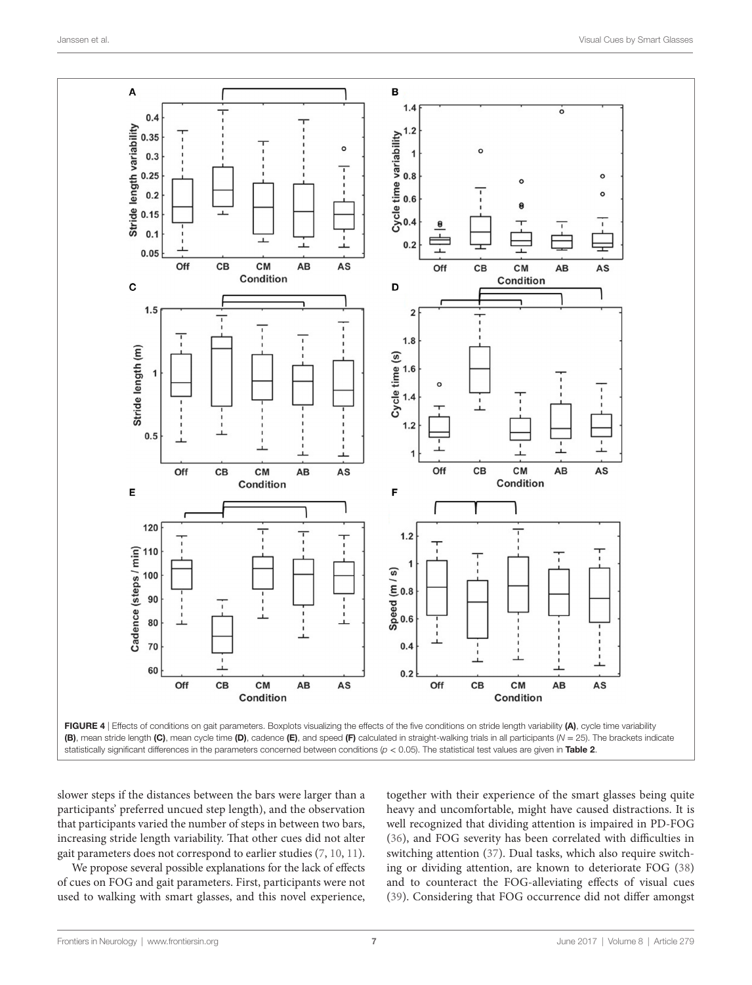

<span id="page-6-0"></span>

slower steps if the distances between the bars were larger than a participants' preferred uncued step length), and the observation that participants varied the number of steps in between two bars, increasing stride length variability. That other cues did not alter gait parameters does not correspond to earlier studies ([7](#page-8-6), [10](#page-8-8), [11\)](#page-8-22).

We propose several possible explanations for the lack of effects of cues on FOG and gait parameters. First, participants were not used to walking with smart glasses, and this novel experience, together with their experience of the smart glasses being quite heavy and uncomfortable, might have caused distractions. It is well recognized that dividing attention is impaired in PD-FOG [\(36\)](#page-9-9), and FOG severity has been correlated with difficulties in switching attention ([37\)](#page-9-10). Dual tasks, which also require switching or dividing attention, are known to deteriorate FOG [\(38\)](#page-9-11) and to counteract the FOG-alleviating effects of visual cues [\(39\)](#page-9-12). Considering that FOG occurrence did not differ amongst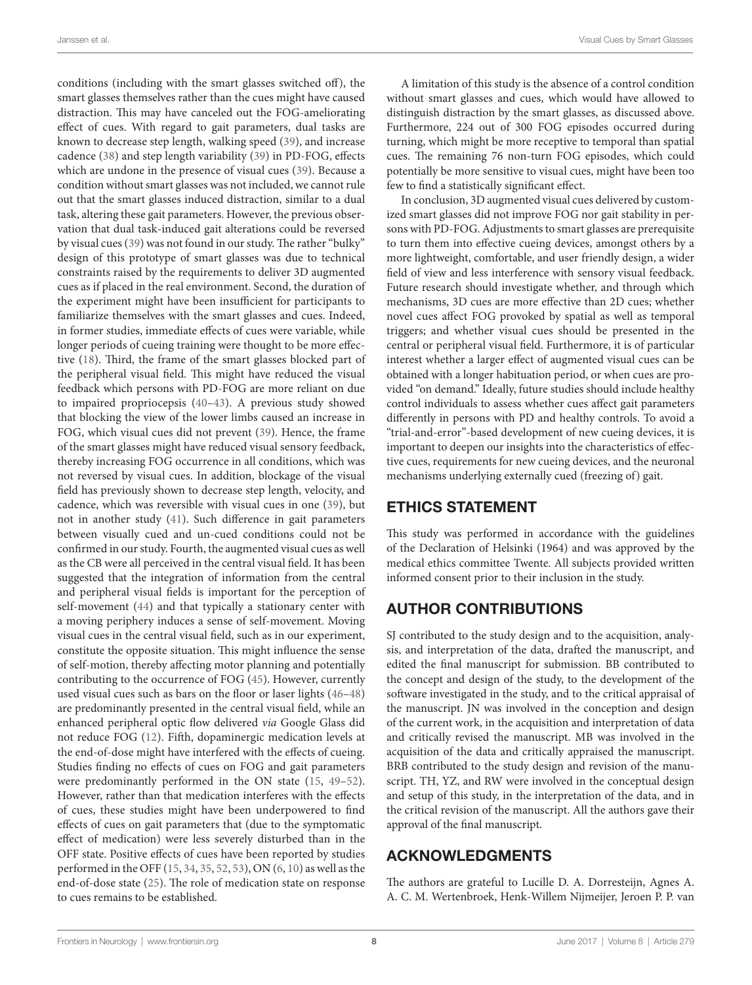conditions (including with the smart glasses switched off), the smart glasses themselves rather than the cues might have caused distraction. This may have canceled out the FOG-ameliorating effect of cues. With regard to gait parameters, dual tasks are known to decrease step length, walking speed ([39\)](#page-9-12), and increase cadence ([38\)](#page-9-11) and step length variability [\(39](#page-9-12)) in PD-FOG, effects which are undone in the presence of visual cues ([39\)](#page-9-12). Because a condition without smart glasses was not included, we cannot rule out that the smart glasses induced distraction, similar to a dual task, altering these gait parameters. However, the previous observation that dual task-induced gait alterations could be reversed by visual cues ([39\)](#page-9-12) was not found in our study. The rather "bulky" design of this prototype of smart glasses was due to technical constraints raised by the requirements to deliver 3D augmented cues as if placed in the real environment. Second, the duration of the experiment might have been insufficient for participants to familiarize themselves with the smart glasses and cues. Indeed, in former studies, immediate effects of cues were variable, while longer periods of cueing training were thought to be more effective ([18\)](#page-8-15). Third, the frame of the smart glasses blocked part of the peripheral visual field. This might have reduced the visual feedback which persons with PD-FOG are more reliant on due to impaired propriocepsis ([40](#page-9-13)[–43](#page-9-14)). A previous study showed that blocking the view of the lower limbs caused an increase in FOG, which visual cues did not prevent [\(39\)](#page-9-12). Hence, the frame of the smart glasses might have reduced visual sensory feedback, thereby increasing FOG occurrence in all conditions, which was not reversed by visual cues. In addition, blockage of the visual field has previously shown to decrease step length, velocity, and cadence, which was reversible with visual cues in one [\(39](#page-9-12)), but not in another study ([41](#page-9-15)). Such difference in gait parameters between visually cued and un-cued conditions could not be confirmed in our study. Fourth, the augmented visual cues as well as the CB were all perceived in the central visual field. It has been suggested that the integration of information from the central and peripheral visual fields is important for the perception of self-movement ([44](#page-9-16)) and that typically a stationary center with a moving periphery induces a sense of self-movement. Moving visual cues in the central visual field, such as in our experiment, constitute the opposite situation. This might influence the sense of self-motion, thereby affecting motor planning and potentially contributing to the occurrence of FOG [\(45](#page-9-17)). However, currently used visual cues such as bars on the floor or laser lights ([46–](#page-9-18)[48\)](#page-9-19) are predominantly presented in the central visual field, while an enhanced peripheral optic flow delivered *via* Google Glass did not reduce FOG [\(12](#page-8-9)). Fifth, dopaminergic medication levels at the end-of-dose might have interfered with the effects of cueing. Studies finding no effects of cues on FOG and gait parameters were predominantly performed in the ON state ([15,](#page-8-12) [49–](#page-9-20)[52\)](#page-9-21). However, rather than that medication interferes with the effects of cues, these studies might have been underpowered to find effects of cues on gait parameters that (due to the symptomatic effect of medication) were less severely disturbed than in the OFF state. Positive effects of cues have been reported by studies performed in the OFF ([15,](#page-8-12) [34,](#page-9-7) [35,](#page-9-8) [52](#page-9-21), [53](#page-9-22)), ON [\(6,](#page-8-5) [10\)](#page-8-8) as well as the end-of-dose state [\(25](#page-8-21)). The role of medication state on response to cues remains to be established.

A limitation of this study is the absence of a control condition without smart glasses and cues, which would have allowed to distinguish distraction by the smart glasses, as discussed above. Furthermore, 224 out of 300 FOG episodes occurred during turning, which might be more receptive to temporal than spatial cues. The remaining 76 non-turn FOG episodes, which could potentially be more sensitive to visual cues, might have been too few to find a statistically significant effect.

In conclusion, 3D augmented visual cues delivered by customized smart glasses did not improve FOG nor gait stability in persons with PD-FOG. Adjustments to smart glasses are prerequisite to turn them into effective cueing devices, amongst others by a more lightweight, comfortable, and user friendly design, a wider field of view and less interference with sensory visual feedback. Future research should investigate whether, and through which mechanisms, 3D cues are more effective than 2D cues; whether novel cues affect FOG provoked by spatial as well as temporal triggers; and whether visual cues should be presented in the central or peripheral visual field. Furthermore, it is of particular interest whether a larger effect of augmented visual cues can be obtained with a longer habituation period, or when cues are provided "on demand." Ideally, future studies should include healthy control individuals to assess whether cues affect gait parameters differently in persons with PD and healthy controls. To avoid a "trial-and-error"-based development of new cueing devices, it is important to deepen our insights into the characteristics of effective cues, requirements for new cueing devices, and the neuronal mechanisms underlying externally cued (freezing of) gait.

## ETHICS STATEMENT

This study was performed in accordance with the guidelines of the Declaration of Helsinki (1964) and was approved by the medical ethics committee Twente. All subjects provided written informed consent prior to their inclusion in the study.

# AUTHOR CONTRIBUTIONS

SJ contributed to the study design and to the acquisition, analysis, and interpretation of the data, drafted the manuscript, and edited the final manuscript for submission. BB contributed to the concept and design of the study, to the development of the software investigated in the study, and to the critical appraisal of the manuscript. JN was involved in the conception and design of the current work, in the acquisition and interpretation of data and critically revised the manuscript. MB was involved in the acquisition of the data and critically appraised the manuscript. BRB contributed to the study design and revision of the manuscript. TH, YZ, and RW were involved in the conceptual design and setup of this study, in the interpretation of the data, and in the critical revision of the manuscript. All the authors gave their approval of the final manuscript.

# ACKNOWLEDGMENTS

The authors are grateful to Lucille D. A. Dorresteijn, Agnes A. A. C. M. Wertenbroek, Henk-Willem Nijmeijer, Jeroen P. P. van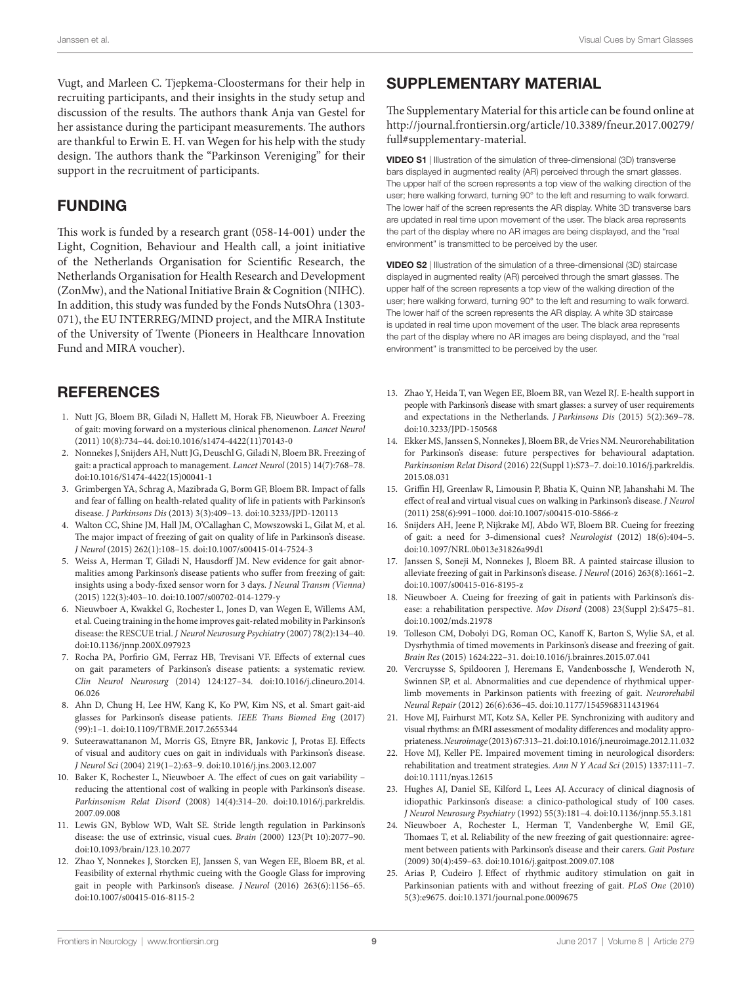Vugt, and Marleen C. Tjepkema-Cloostermans for their help in recruiting participants, and their insights in the study setup and discussion of the results. The authors thank Anja van Gestel for her assistance during the participant measurements. The authors are thankful to Erwin E. H. van Wegen for his help with the study design. The authors thank the "Parkinson Vereniging" for their support in the recruitment of participants.

## FUNDING

This work is funded by a research grant (058-14-001) under the Light, Cognition, Behaviour and Health call, a joint initiative of the Netherlands Organisation for Scientific Research, the Netherlands Organisation for Health Research and Development (ZonMw), and the National Initiative Brain & Cognition (NIHC). In addition, this study was funded by the Fonds NutsOhra (1303- 071), the EU INTERREG/MIND project, and the MIRA Institute of the University of Twente (Pioneers in Healthcare Innovation Fund and MIRA voucher).

## **REFERENCES**

- <span id="page-8-0"></span>1. Nutt JG, Bloem BR, Giladi N, Hallett M, Horak FB, Nieuwboer A. Freezing of gait: moving forward on a mysterious clinical phenomenon. *Lancet Neurol* (2011) 10(8):734–44. doi[:10.1016/s1474-4422\(11\)70143-0](https://doi.org/10.1016/s1474-4422(11)70143-0)
- <span id="page-8-1"></span>2. Nonnekes J, Snijders AH, Nutt JG, Deuschl G, Giladi N, Bloem BR. Freezing of gait: a practical approach to management. *Lancet Neurol* (2015) 14(7):768–78. doi:[10.1016/S1474-4422\(15\)00041-1](https://doi.org/10.1016/S1474-4422(15)00041-1)
- <span id="page-8-2"></span>3. Grimbergen YA, Schrag A, Mazibrada G, Borm GF, Bloem BR. Impact of falls and fear of falling on health-related quality of life in patients with Parkinson's disease. *J Parkinsons Dis* (2013) 3(3):409–13. doi:[10.3233/JPD-120113](https://doi.org/10.3233/JPD-120113)
- <span id="page-8-3"></span>4. Walton CC, Shine JM, Hall JM, O'Callaghan C, Mowszowski L, Gilat M, et al. The major impact of freezing of gait on quality of life in Parkinson's disease. *J Neurol* (2015) 262(1):108–15. doi[:10.1007/s00415-014-7524-3](https://doi.org/10.1007/s00415-014-7524-3)
- <span id="page-8-4"></span>5. Weiss A, Herman T, Giladi N, Hausdorff JM. New evidence for gait abnormalities among Parkinson's disease patients who suffer from freezing of gait: insights using a body-fixed sensor worn for 3 days. *J Neural Transm (Vienna)* (2015) 122(3):403–10. doi:[10.1007/s00702-014-1279-y](https://doi.org/10.1007/s00702-014-1279-y)
- <span id="page-8-5"></span>6. Nieuwboer A, Kwakkel G, Rochester L, Jones D, van Wegen E, Willems AM, et al. Cueing training in the home improves gait-related mobility in Parkinson's disease: the RESCUE trial. *J Neurol Neurosurg Psychiatry* (2007) 78(2):134–40. doi:[10.1136/jnnp.200X.097923](https://doi.org/10.1136/jnnp.200X.097923)
- <span id="page-8-6"></span>7. Rocha PA, Porfirio GM, Ferraz HB, Trevisani VF. Effects of external cues on gait parameters of Parkinson's disease patients: a systematic review. *Clin Neurol Neurosurg* (2014) 124:127–34. doi[:10.1016/j.clineuro.2014.](https://doi.org/10.1016/j.clineuro.2014.
06.026) [06.026](https://doi.org/10.1016/j.clineuro.2014.
06.026)
- 8. Ahn D, Chung H, Lee HW, Kang K, Ko PW, Kim NS, et al. Smart gait-aid glasses for Parkinson's disease patients. *IEEE Trans Biomed Eng* (2017) (99):1–1. doi[:10.1109/TBME.2017.2655344](https://doi.org/10.1109/TBME.2017.2655344)
- <span id="page-8-7"></span>Suteerawattananon M, Morris GS, Etnyre BR, Jankovic J, Protas EJ. Effects of visual and auditory cues on gait in individuals with Parkinson's disease. *J Neurol Sci* (2004) 219(1–2):63–9. doi:[10.1016/j.jns.2003.12.007](https://doi.org/10.1016/j.jns.2003.12.007)
- <span id="page-8-8"></span>10. Baker K, Rochester L, Nieuwboer A. The effect of cues on gait variability – reducing the attentional cost of walking in people with Parkinson's disease. *Parkinsonism Relat Disord* (2008) 14(4):314–20. doi:[10.1016/j.parkreldis.](https://doi.org/10.1016/j.parkreldis.
2007.09.008) [2007.09.008](https://doi.org/10.1016/j.parkreldis.
2007.09.008)
- <span id="page-8-22"></span>11. Lewis GN, Byblow WD, Walt SE. Stride length regulation in Parkinson's disease: the use of extrinsic, visual cues. *Brain* (2000) 123(Pt 10):2077–90. doi:[10.1093/brain/123.10.2077](https://doi.org/10.1093/brain/123.10.2077)
- <span id="page-8-9"></span>12. Zhao Y, Nonnekes J, Storcken EJ, Janssen S, van Wegen EE, Bloem BR, et al. Feasibility of external rhythmic cueing with the Google Glass for improving gait in people with Parkinson's disease. *J Neurol* (2016) 263(6):1156–65. doi:[10.1007/s00415-016-8115-2](https://doi.org/10.1007/s00415-016-8115-2)

# SUPPLEMENTARY MATERIAL

The Supplementary Material for this article can be found online at [http://journal.frontiersin.org/article/10.3389/fneur.2017.00279/](http://journal.frontiersin.org/article/10.3389/fneur.2017.00279/full#supplementary-material) [full#supplementary-material.](http://journal.frontiersin.org/article/10.3389/fneur.2017.00279/full#supplementary-material)

VIDEO S1 | Illustration of the simulation of three-dimensional (3D) transverse bars displayed in augmented reality (AR) perceived through the smart glasses. The upper half of the screen represents a top view of the walking direction of the user; here walking forward, turning 90° to the left and resuming to walk forward. The lower half of the screen represents the AR display. White 3D transverse bars are updated in real time upon movement of the user. The black area represents the part of the display where no AR images are being displayed, and the "real environment" is transmitted to be perceived by the user.

VIDEO S2 | Illustration of the simulation of a three-dimensional (3D) staircase displayed in augmented reality (AR) perceived through the smart glasses. The upper half of the screen represents a top view of the walking direction of the user; here walking forward, turning 90° to the left and resuming to walk forward. The lower half of the screen represents the AR display. A white 3D staircase is updated in real time upon movement of the user. The black area represents the part of the display where no AR images are being displayed, and the "real environment" is transmitted to be perceived by the user.

- <span id="page-8-10"></span>13. Zhao Y, Heida T, van Wegen EE, Bloem BR, van Wezel RJ. E-health support in people with Parkinson's disease with smart glasses: a survey of user requirements and expectations in the Netherlands. *J Parkinsons Dis* (2015) 5(2):369–78. doi:[10.3233/JPD-150568](https://doi.org/10.3233/JPD-150568)
- <span id="page-8-11"></span>14. Ekker MS, Janssen S, Nonnekes J, Bloem BR, de Vries NM. Neurorehabilitation for Parkinson's disease: future perspectives for behavioural adaptation. *Parkinsonism Relat Disord* (2016) 22(Suppl 1):S73–7. doi:[10.1016/j.parkreldis.](https://doi.org/10.1016/j.parkreldis.
2015.08.031) [2015.08.031](https://doi.org/10.1016/j.parkreldis.
2015.08.031)
- <span id="page-8-12"></span>15. Griffin HJ, Greenlaw R, Limousin P, Bhatia K, Quinn NP, Jahanshahi M. The effect of real and virtual visual cues on walking in Parkinson's disease. *J Neurol* (2011) 258(6):991–1000. doi:[10.1007/s00415-010-5866-z](https://doi.org/10.1007/s00415-010-5866-z)
- <span id="page-8-13"></span>16. Snijders AH, Jeene P, Nijkrake MJ, Abdo WF, Bloem BR. Cueing for freezing of gait: a need for 3-dimensional cues? *Neurologist* (2012) 18(6):404–5. doi:[10.1097/NRL.0b013e31826a99d1](https://doi.org/10.1097/NRL.0b013e31826a99d1)
- <span id="page-8-14"></span>17. Janssen S, Soneji M, Nonnekes J, Bloem BR. A painted staircase illusion to alleviate freezing of gait in Parkinson's disease. *J Neurol* (2016) 263(8):1661–2. doi:[10.1007/s00415-016-8195-z](https://doi.org/10.1007/s00415-016-8195-z)
- <span id="page-8-15"></span>18. Nieuwboer A. Cueing for freezing of gait in patients with Parkinson's disease: a rehabilitation perspective. *Mov Disord* (2008) 23(Suppl 2):S475–81. doi:[10.1002/mds.21978](https://doi.org/10.1002/mds.21978)
- 19. Tolleson CM, Dobolyi DG, Roman OC, Kanoff K, Barton S, Wylie SA, et al. Dysrhythmia of timed movements in Parkinson's disease and freezing of gait. *Brain Res* (2015) 1624:222–31. doi:[10.1016/j.brainres.2015.07.041](https://doi.org/10.1016/j.brainres.2015.07.041)
- <span id="page-8-16"></span>20. Vercruysse S, Spildooren J, Heremans E, Vandenbossche J, Wenderoth N, Swinnen SP, et al. Abnormalities and cue dependence of rhythmical upperlimb movements in Parkinson patients with freezing of gait. *Neurorehabil Neural Repair* (2012) 26(6):636–45. doi:[10.1177/1545968311431964](https://doi.org/10.1177/1545968311431964)
- <span id="page-8-17"></span>21. Hove MJ, Fairhurst MT, Kotz SA, Keller PE. Synchronizing with auditory and visual rhythms: an fMRI assessment of modality differences and modality appropriateness. *Neuroimage* (2013) 67:313–21. doi[:10.1016/j.neuroimage.2012.11.032](https://doi.org/10.1016/j.neuroimage.2012.11.032)
- <span id="page-8-18"></span>22. Hove MJ, Keller PE. Impaired movement timing in neurological disorders: rehabilitation and treatment strategies. *Ann N Y Acad Sci* (2015) 1337:111–7. doi:[10.1111/nyas.12615](https://doi.org/10.1111/nyas.12615)
- <span id="page-8-19"></span>23. Hughes AJ, Daniel SE, Kilford L, Lees AJ. Accuracy of clinical diagnosis of idiopathic Parkinson's disease: a clinico-pathological study of 100 cases. *J Neurol Neurosurg Psychiatry* (1992) 55(3):181–4. doi:[10.1136/jnnp.55.3.181](https://doi.org/10.1136/jnnp.55.3.181)
- <span id="page-8-20"></span>24. Nieuwboer A, Rochester L, Herman T, Vandenberghe W, Emil GE, Thomaes T, et al. Reliability of the new freezing of gait questionnaire: agreement between patients with Parkinson's disease and their carers. *Gait Posture* (2009) 30(4):459–63. doi:[10.1016/j.gaitpost.2009.07.108](https://doi.org/10.1016/j.gaitpost.2009.07.108)
- <span id="page-8-21"></span>25. Arias P, Cudeiro J. Effect of rhythmic auditory stimulation on gait in Parkinsonian patients with and without freezing of gait. *PLoS One* (2010) 5(3):e9675. doi:[10.1371/journal.pone.0009675](https://doi.org/10.1371/journal.pone.0009675)